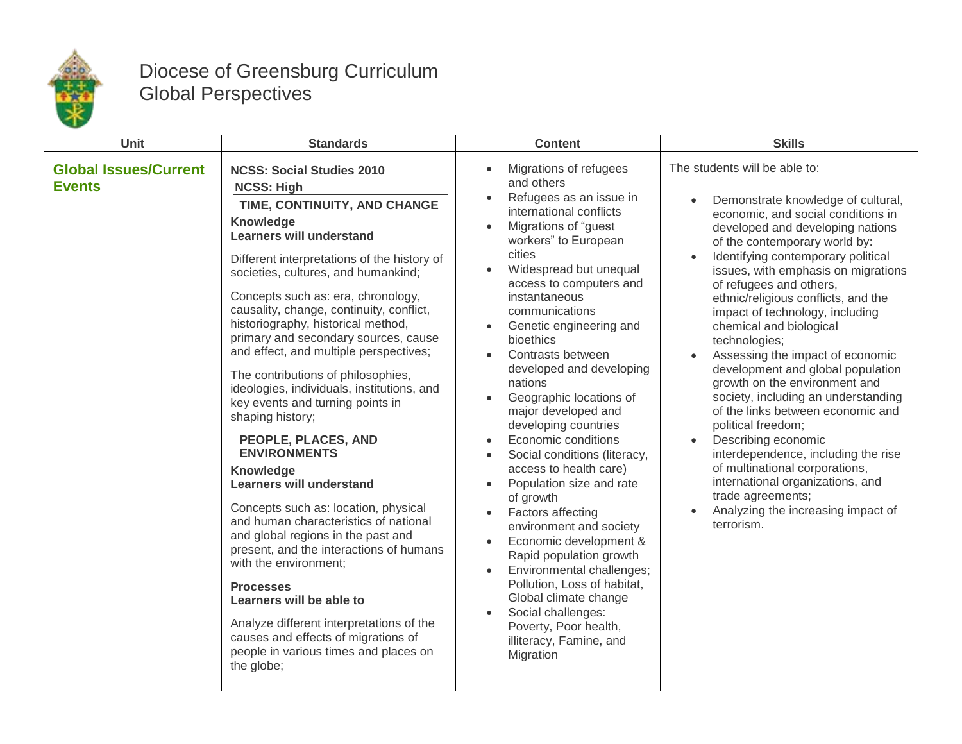

## Diocese of Greensburg Curriculum Global Perspectives

| <b>Unit</b>                                   | <b>Standards</b>                                                                                                                                                                                                                                                                                                                                                                                                                                                                                                                                                                                                                                                                                                                                                                                                                                                                                                                                                                                                                                                     | <b>Content</b>                                                                                                                                                                                                                                                                                                                                                                                                                                                                                                                                                                                                                                                                                                                                                                                                                                                                                                                                             | <b>Skills</b>                                                                                                                                                                                                                                                                                                                                                                                                                                                                                                                                                                                                                                                                                                                                                                                                                                      |
|-----------------------------------------------|----------------------------------------------------------------------------------------------------------------------------------------------------------------------------------------------------------------------------------------------------------------------------------------------------------------------------------------------------------------------------------------------------------------------------------------------------------------------------------------------------------------------------------------------------------------------------------------------------------------------------------------------------------------------------------------------------------------------------------------------------------------------------------------------------------------------------------------------------------------------------------------------------------------------------------------------------------------------------------------------------------------------------------------------------------------------|------------------------------------------------------------------------------------------------------------------------------------------------------------------------------------------------------------------------------------------------------------------------------------------------------------------------------------------------------------------------------------------------------------------------------------------------------------------------------------------------------------------------------------------------------------------------------------------------------------------------------------------------------------------------------------------------------------------------------------------------------------------------------------------------------------------------------------------------------------------------------------------------------------------------------------------------------------|----------------------------------------------------------------------------------------------------------------------------------------------------------------------------------------------------------------------------------------------------------------------------------------------------------------------------------------------------------------------------------------------------------------------------------------------------------------------------------------------------------------------------------------------------------------------------------------------------------------------------------------------------------------------------------------------------------------------------------------------------------------------------------------------------------------------------------------------------|
| <b>Global Issues/Current</b><br><b>Events</b> | <b>NCSS: Social Studies 2010</b><br><b>NCSS: High</b><br>TIME, CONTINUITY, AND CHANGE<br>Knowledge<br><b>Learners will understand</b><br>Different interpretations of the history of<br>societies, cultures, and humankind;<br>Concepts such as: era, chronology,<br>causality, change, continuity, conflict,<br>historiography, historical method,<br>primary and secondary sources, cause<br>and effect, and multiple perspectives;<br>The contributions of philosophies,<br>ideologies, individuals, institutions, and<br>key events and turning points in<br>shaping history;<br>PEOPLE, PLACES, AND<br><b>ENVIRONMENTS</b><br>Knowledge<br><b>Learners will understand</b><br>Concepts such as: location, physical<br>and human characteristics of national<br>and global regions in the past and<br>present, and the interactions of humans<br>with the environment;<br><b>Processes</b><br>Learners will be able to<br>Analyze different interpretations of the<br>causes and effects of migrations of<br>people in various times and places on<br>the globe; | Migrations of refugees<br>and others<br>Refugees as an issue in<br>$\bullet$<br>international conflicts<br>Migrations of "guest<br>$\bullet$<br>workers" to European<br>cities<br>Widespread but unequal<br>$\bullet$<br>access to computers and<br>instantaneous<br>communications<br>Genetic engineering and<br>bioethics<br>Contrasts between<br>developed and developing<br>nations<br>Geographic locations of<br>$\bullet$<br>major developed and<br>developing countries<br>Economic conditions<br>Social conditions (literacy,<br>$\bullet$<br>access to health care)<br>Population size and rate<br>$\bullet$<br>of growth<br>Factors affecting<br>environment and society<br>Economic development &<br>$\bullet$<br>Rapid population growth<br>Environmental challenges;<br>$\bullet$<br>Pollution, Loss of habitat,<br>Global climate change<br>Social challenges:<br>$\bullet$<br>Poverty, Poor health,<br>illiteracy, Famine, and<br>Migration | The students will be able to:<br>Demonstrate knowledge of cultural,<br>economic, and social conditions in<br>developed and developing nations<br>of the contemporary world by:<br>Identifying contemporary political<br>issues, with emphasis on migrations<br>of refugees and others,<br>ethnic/religious conflicts, and the<br>impact of technology, including<br>chemical and biological<br>technologies;<br>Assessing the impact of economic<br>development and global population<br>growth on the environment and<br>society, including an understanding<br>of the links between economic and<br>political freedom;<br>Describing economic<br>$\bullet$<br>interdependence, including the rise<br>of multinational corporations,<br>international organizations, and<br>trade agreements;<br>Analyzing the increasing impact of<br>terrorism. |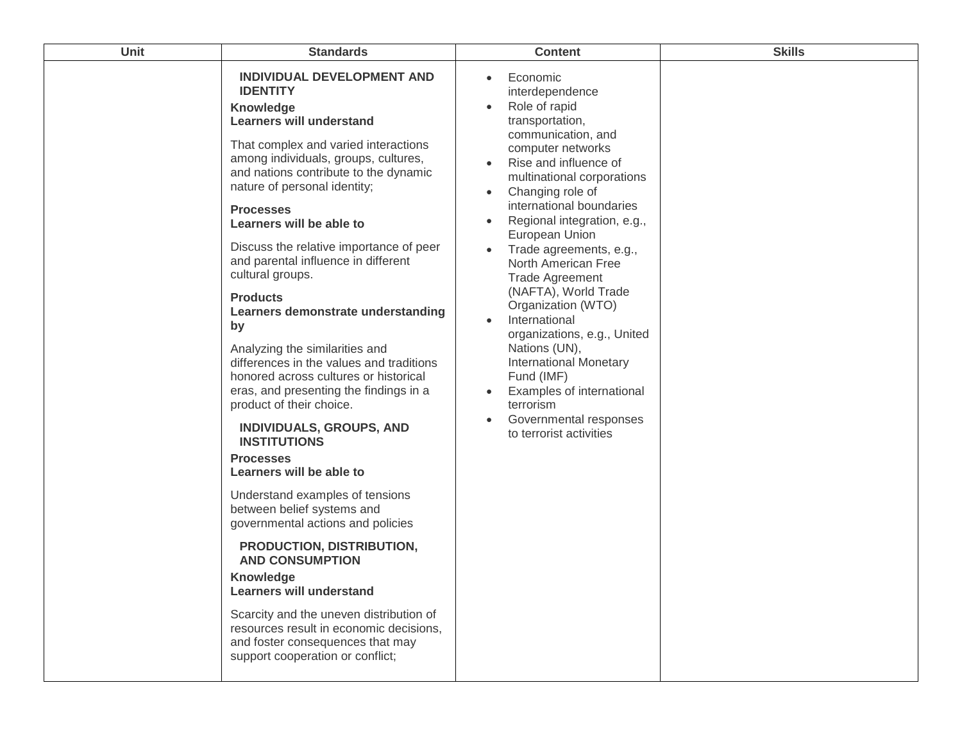| <b>Unit</b> | <b>Standards</b>                                                                                                                                                                                                                                                                                                                                                                                                                                                                                                                                                                                                                                                                                                                                                                                                                                                                                                                                                                                                                                                                                                                                                            | <b>Content</b>                                                                                                                                                                                                                                                                                                                                                                                                                                                                                                                                                                                                                                                                                   | <b>Skills</b> |
|-------------|-----------------------------------------------------------------------------------------------------------------------------------------------------------------------------------------------------------------------------------------------------------------------------------------------------------------------------------------------------------------------------------------------------------------------------------------------------------------------------------------------------------------------------------------------------------------------------------------------------------------------------------------------------------------------------------------------------------------------------------------------------------------------------------------------------------------------------------------------------------------------------------------------------------------------------------------------------------------------------------------------------------------------------------------------------------------------------------------------------------------------------------------------------------------------------|--------------------------------------------------------------------------------------------------------------------------------------------------------------------------------------------------------------------------------------------------------------------------------------------------------------------------------------------------------------------------------------------------------------------------------------------------------------------------------------------------------------------------------------------------------------------------------------------------------------------------------------------------------------------------------------------------|---------------|
|             | <b>INDIVIDUAL DEVELOPMENT AND</b><br><b>IDENTITY</b><br>Knowledge<br><b>Learners will understand</b><br>That complex and varied interactions<br>among individuals, groups, cultures,<br>and nations contribute to the dynamic<br>nature of personal identity;<br><b>Processes</b><br>Learners will be able to<br>Discuss the relative importance of peer<br>and parental influence in different<br>cultural groups.<br><b>Products</b><br>Learners demonstrate understanding<br>by<br>Analyzing the similarities and<br>differences in the values and traditions<br>honored across cultures or historical<br>eras, and presenting the findings in a<br>product of their choice.<br><b>INDIVIDUALS, GROUPS, AND</b><br><b>INSTITUTIONS</b><br><b>Processes</b><br>Learners will be able to<br>Understand examples of tensions<br>between belief systems and<br>governmental actions and policies<br>PRODUCTION, DISTRIBUTION,<br><b>AND CONSUMPTION</b><br><b>Knowledge</b><br><b>Learners will understand</b><br>Scarcity and the uneven distribution of<br>resources result in economic decisions,<br>and foster consequences that may<br>support cooperation or conflict; | Economic<br>$\bullet$<br>interdependence<br>Role of rapid<br>$\bullet$<br>transportation,<br>communication, and<br>computer networks<br>Rise and influence of<br>multinational corporations<br>Changing role of<br>$\bullet$<br>international boundaries<br>Regional integration, e.g.,<br>European Union<br>Trade agreements, e.g.,<br>North American Free<br><b>Trade Agreement</b><br>(NAFTA), World Trade<br>Organization (WTO)<br>International<br>$\bullet$<br>organizations, e.g., United<br>Nations (UN),<br><b>International Monetary</b><br>Fund (IMF)<br><b>Examples of international</b><br>$\bullet$<br>terrorism<br>Governmental responses<br>$\bullet$<br>to terrorist activities |               |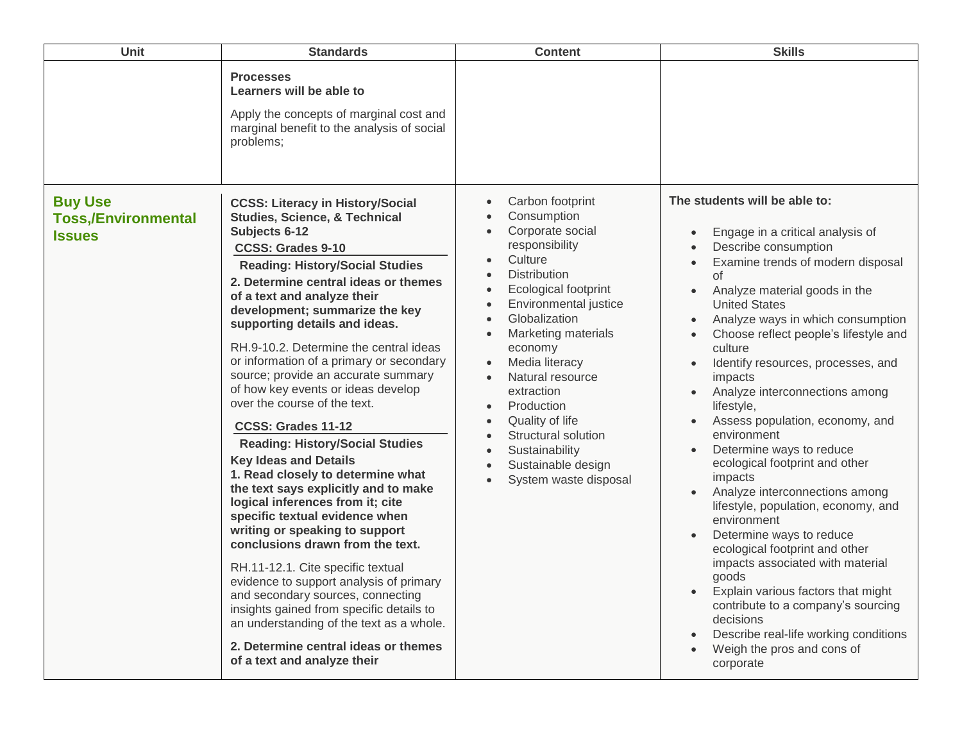| Unit                                                          | <b>Standards</b>                                                                                                                                                                                                                                                                                                                                                                                                                                                                                                                                                                                                                                                                                                                                                                                                                                                                                                                                                                                                                                                                                                                     | <b>Content</b>                                                                                                                                                                                                                                                                                                                                                                                                                  | <b>Skills</b>                                                                                                                                                                                                                                                                                                                                                                                                                                                                                                                                                                                                                                                                                                                                                                                                                                                                                                                |
|---------------------------------------------------------------|--------------------------------------------------------------------------------------------------------------------------------------------------------------------------------------------------------------------------------------------------------------------------------------------------------------------------------------------------------------------------------------------------------------------------------------------------------------------------------------------------------------------------------------------------------------------------------------------------------------------------------------------------------------------------------------------------------------------------------------------------------------------------------------------------------------------------------------------------------------------------------------------------------------------------------------------------------------------------------------------------------------------------------------------------------------------------------------------------------------------------------------|---------------------------------------------------------------------------------------------------------------------------------------------------------------------------------------------------------------------------------------------------------------------------------------------------------------------------------------------------------------------------------------------------------------------------------|------------------------------------------------------------------------------------------------------------------------------------------------------------------------------------------------------------------------------------------------------------------------------------------------------------------------------------------------------------------------------------------------------------------------------------------------------------------------------------------------------------------------------------------------------------------------------------------------------------------------------------------------------------------------------------------------------------------------------------------------------------------------------------------------------------------------------------------------------------------------------------------------------------------------------|
|                                                               | <b>Processes</b><br>Learners will be able to<br>Apply the concepts of marginal cost and<br>marginal benefit to the analysis of social<br>problems;                                                                                                                                                                                                                                                                                                                                                                                                                                                                                                                                                                                                                                                                                                                                                                                                                                                                                                                                                                                   |                                                                                                                                                                                                                                                                                                                                                                                                                                 |                                                                                                                                                                                                                                                                                                                                                                                                                                                                                                                                                                                                                                                                                                                                                                                                                                                                                                                              |
| <b>Buy Use</b><br><b>Toss,/Environmental</b><br><b>Issues</b> | <b>CCSS: Literacy in History/Social</b><br><b>Studies, Science, &amp; Technical</b><br>Subjects 6-12<br><b>CCSS: Grades 9-10</b><br><b>Reading: History/Social Studies</b><br>2. Determine central ideas or themes<br>of a text and analyze their<br>development; summarize the key<br>supporting details and ideas.<br>RH.9-10.2. Determine the central ideas<br>or information of a primary or secondary<br>source; provide an accurate summary<br>of how key events or ideas develop<br>over the course of the text.<br>CCSS: Grades 11-12<br><b>Reading: History/Social Studies</b><br><b>Key Ideas and Details</b><br>1. Read closely to determine what<br>the text says explicitly and to make<br>logical inferences from it; cite<br>specific textual evidence when<br>writing or speaking to support<br>conclusions drawn from the text.<br>RH.11-12.1. Cite specific textual<br>evidence to support analysis of primary<br>and secondary sources, connecting<br>insights gained from specific details to<br>an understanding of the text as a whole.<br>2. Determine central ideas or themes<br>of a text and analyze their | Carbon footprint<br>Consumption<br>Corporate social<br>responsibility<br>Culture<br><b>Distribution</b><br>Ecological footprint<br>$\bullet$<br>Environmental justice<br>Globalization<br>Marketing materials<br>economy<br>Media literacy<br>$\bullet$<br>Natural resource<br>extraction<br>Production<br>$\bullet$<br>Quality of life<br>Structural solution<br>Sustainability<br>Sustainable design<br>System waste disposal | The students will be able to:<br>Engage in a critical analysis of<br>Describe consumption<br>Examine trends of modern disposal<br>οf<br>Analyze material goods in the<br>$\bullet$<br><b>United States</b><br>Analyze ways in which consumption<br>$\bullet$<br>Choose reflect people's lifestyle and<br>culture<br>Identify resources, processes, and<br>impacts<br>Analyze interconnections among<br>lifestyle,<br>Assess population, economy, and<br>environment<br>Determine ways to reduce<br>ecological footprint and other<br>impacts<br>Analyze interconnections among<br>lifestyle, population, economy, and<br>environment<br>Determine ways to reduce<br>ecological footprint and other<br>impacts associated with material<br>goods<br>Explain various factors that might<br>contribute to a company's sourcing<br>decisions<br>Describe real-life working conditions<br>Weigh the pros and cons of<br>corporate |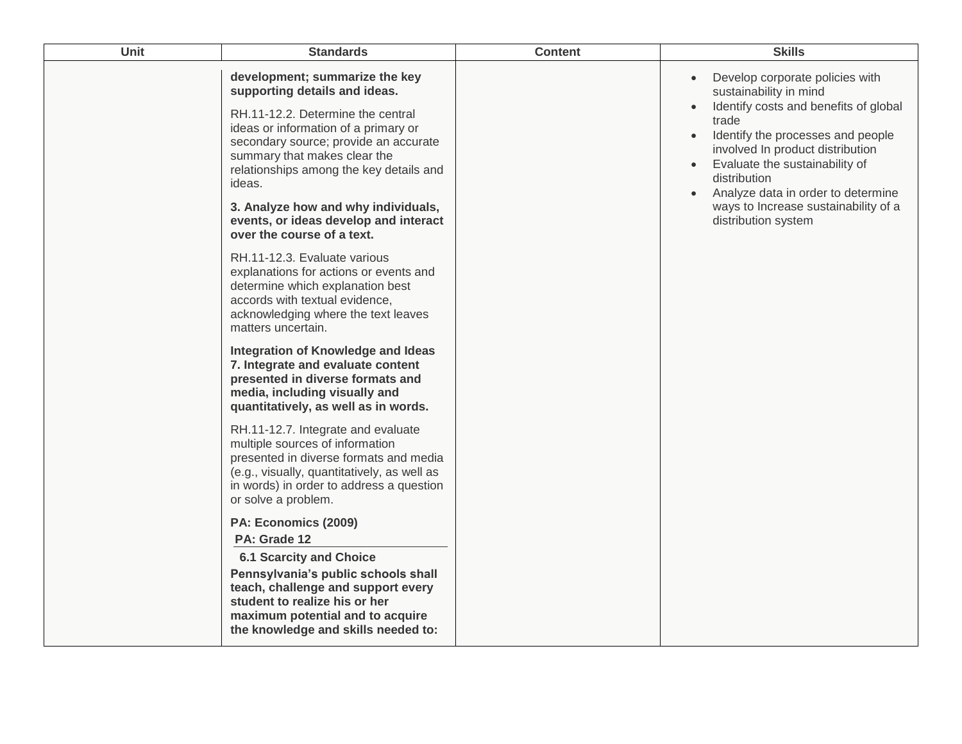| Unit | <b>Standards</b>                                                                                                                                                                                                                                                           | <b>Content</b> | <b>Skills</b>                                                                                                                                                                                                                                                                                                                    |
|------|----------------------------------------------------------------------------------------------------------------------------------------------------------------------------------------------------------------------------------------------------------------------------|----------------|----------------------------------------------------------------------------------------------------------------------------------------------------------------------------------------------------------------------------------------------------------------------------------------------------------------------------------|
|      | development; summarize the key<br>supporting details and ideas.<br>RH.11-12.2. Determine the central<br>ideas or information of a primary or<br>secondary source; provide an accurate<br>summary that makes clear the<br>relationships among the key details and<br>ideas. |                | Develop corporate policies with<br>$\bullet$<br>sustainability in mind<br>Identify costs and benefits of global<br>$\bullet$<br>trade<br>Identify the processes and people<br>$\bullet$<br>involved In product distribution<br>Evaluate the sustainability of<br>$\bullet$<br>distribution<br>Analyze data in order to determine |
|      | 3. Analyze how and why individuals,<br>events, or ideas develop and interact<br>over the course of a text.                                                                                                                                                                 |                | ways to Increase sustainability of a<br>distribution system                                                                                                                                                                                                                                                                      |
|      | RH.11-12.3. Evaluate various<br>explanations for actions or events and<br>determine which explanation best<br>accords with textual evidence,<br>acknowledging where the text leaves<br>matters uncertain.                                                                  |                |                                                                                                                                                                                                                                                                                                                                  |
|      | Integration of Knowledge and Ideas<br>7. Integrate and evaluate content<br>presented in diverse formats and<br>media, including visually and<br>quantitatively, as well as in words.                                                                                       |                |                                                                                                                                                                                                                                                                                                                                  |
|      | RH.11-12.7. Integrate and evaluate<br>multiple sources of information<br>presented in diverse formats and media<br>(e.g., visually, quantitatively, as well as<br>in words) in order to address a question<br>or solve a problem.                                          |                |                                                                                                                                                                                                                                                                                                                                  |
|      | PA: Economics (2009)<br>PA: Grade 12                                                                                                                                                                                                                                       |                |                                                                                                                                                                                                                                                                                                                                  |
|      | <b>6.1 Scarcity and Choice</b><br>Pennsylvania's public schools shall<br>teach, challenge and support every<br>student to realize his or her<br>maximum potential and to acquire<br>the knowledge and skills needed to:                                                    |                |                                                                                                                                                                                                                                                                                                                                  |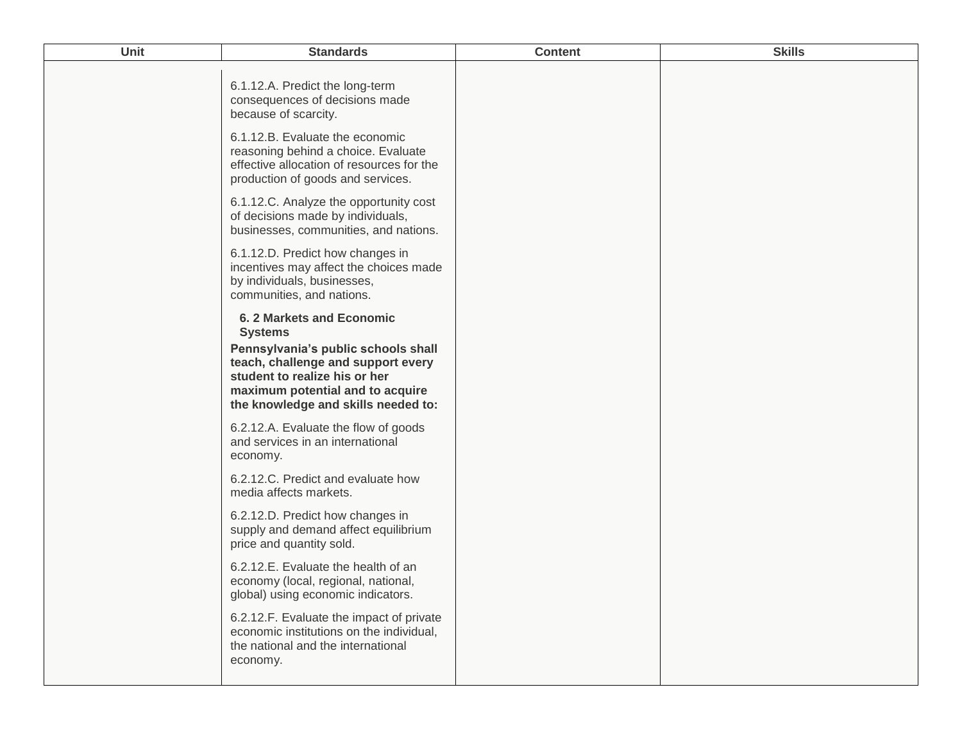| Unit | <b>Standards</b>                                                                                                                                                                      | <b>Content</b> | <b>Skills</b> |
|------|---------------------------------------------------------------------------------------------------------------------------------------------------------------------------------------|----------------|---------------|
|      | 6.1.12.A. Predict the long-term<br>consequences of decisions made<br>because of scarcity.                                                                                             |                |               |
|      | 6.1.12.B. Evaluate the economic<br>reasoning behind a choice. Evaluate<br>effective allocation of resources for the<br>production of goods and services.                              |                |               |
|      | 6.1.12.C. Analyze the opportunity cost<br>of decisions made by individuals,<br>businesses, communities, and nations.                                                                  |                |               |
|      | 6.1.12.D. Predict how changes in<br>incentives may affect the choices made<br>by individuals, businesses,<br>communities, and nations.                                                |                |               |
|      | 6.2 Markets and Economic<br><b>Systems</b>                                                                                                                                            |                |               |
|      | Pennsylvania's public schools shall<br>teach, challenge and support every<br>student to realize his or her<br>maximum potential and to acquire<br>the knowledge and skills needed to: |                |               |
|      | 6.2.12.A. Evaluate the flow of goods<br>and services in an international<br>economy.                                                                                                  |                |               |
|      | 6.2.12.C. Predict and evaluate how<br>media affects markets.                                                                                                                          |                |               |
|      | 6.2.12.D. Predict how changes in<br>supply and demand affect equilibrium<br>price and quantity sold.                                                                                  |                |               |
|      | 6.2.12.E. Evaluate the health of an<br>economy (local, regional, national,<br>global) using economic indicators.                                                                      |                |               |
|      | 6.2.12.F. Evaluate the impact of private<br>economic institutions on the individual,<br>the national and the international<br>economy.                                                |                |               |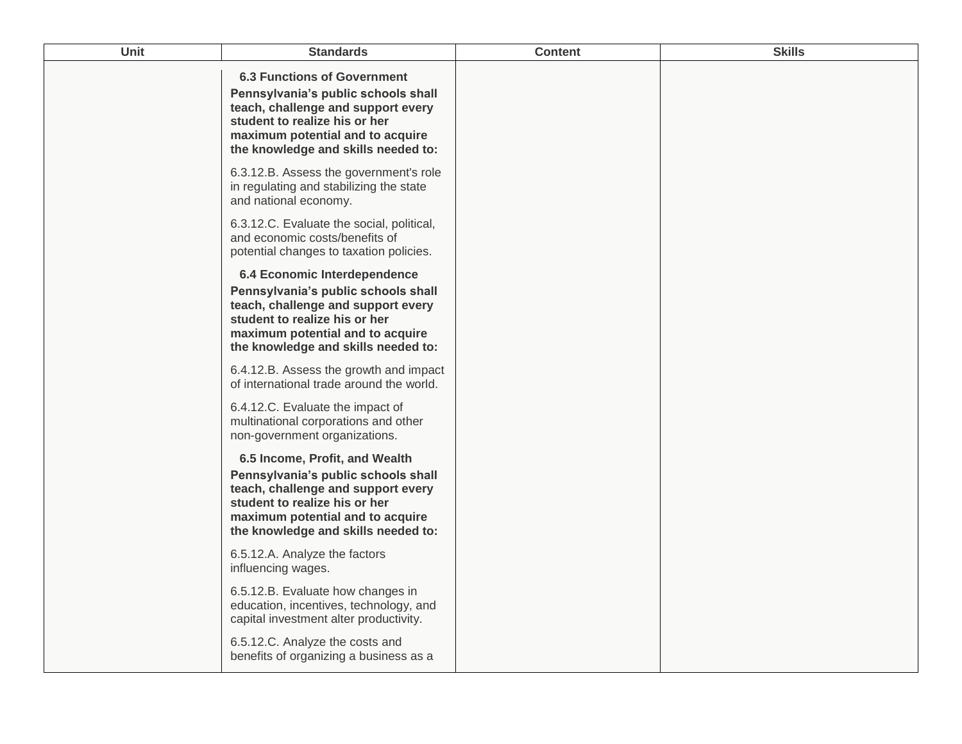| <b>Unit</b> | <b>Standards</b>                                                                                                                                                                                                            | <b>Content</b> | <b>Skills</b> |
|-------------|-----------------------------------------------------------------------------------------------------------------------------------------------------------------------------------------------------------------------------|----------------|---------------|
|             | <b>6.3 Functions of Government</b><br>Pennsylvania's public schools shall<br>teach, challenge and support every<br>student to realize his or her<br>maximum potential and to acquire<br>the knowledge and skills needed to: |                |               |
|             | 6.3.12.B. Assess the government's role<br>in regulating and stabilizing the state<br>and national economy.                                                                                                                  |                |               |
|             | 6.3.12.C. Evaluate the social, political,<br>and economic costs/benefits of<br>potential changes to taxation policies.                                                                                                      |                |               |
|             | 6.4 Economic Interdependence<br>Pennsylvania's public schools shall<br>teach, challenge and support every<br>student to realize his or her<br>maximum potential and to acquire<br>the knowledge and skills needed to:       |                |               |
|             | 6.4.12.B. Assess the growth and impact<br>of international trade around the world.                                                                                                                                          |                |               |
|             | 6.4.12.C. Evaluate the impact of<br>multinational corporations and other<br>non-government organizations.                                                                                                                   |                |               |
|             | 6.5 Income, Profit, and Wealth<br>Pennsylvania's public schools shall<br>teach, challenge and support every<br>student to realize his or her<br>maximum potential and to acquire<br>the knowledge and skills needed to:     |                |               |
|             | 6.5.12.A. Analyze the factors<br>influencing wages.                                                                                                                                                                         |                |               |
|             | 6.5.12.B. Evaluate how changes in<br>education, incentives, technology, and<br>capital investment alter productivity.                                                                                                       |                |               |
|             | 6.5.12.C. Analyze the costs and<br>benefits of organizing a business as a                                                                                                                                                   |                |               |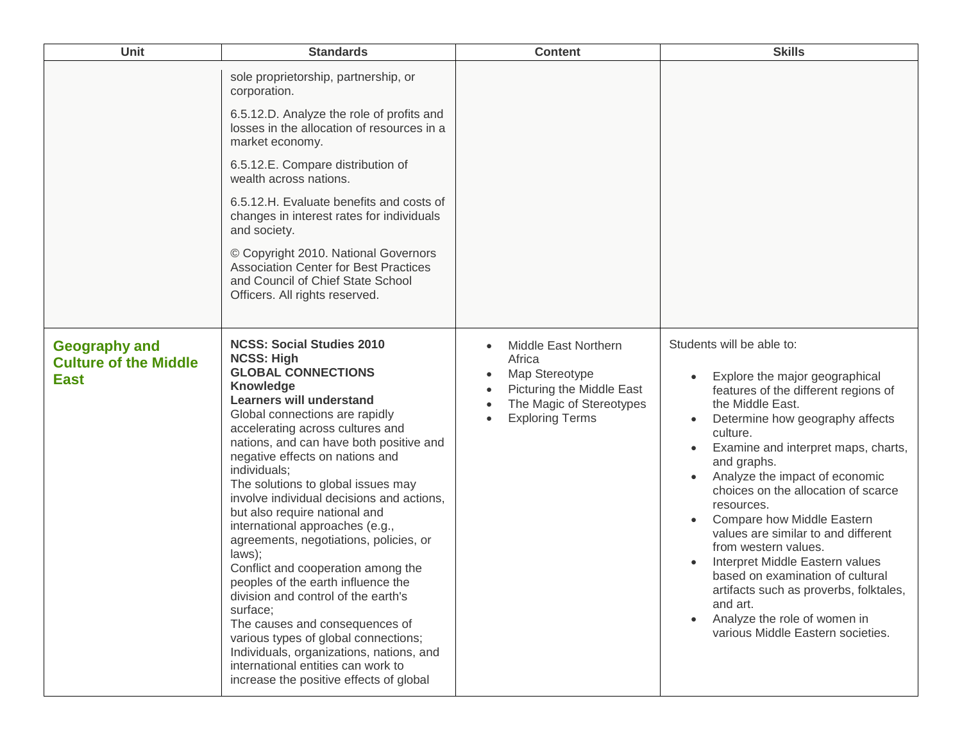| Unit                                                                | <b>Standards</b>                                                                                                                                                                                                                                                                                                                                                                                                                                                                                                                                                                                                                                                                                                                                                                                                                                               | <b>Content</b>                                                                                                                      | <b>Skills</b>                                                                                                                                                                                                                                                                                                                                                                                                                                                                                                                                                                                                                                             |
|---------------------------------------------------------------------|----------------------------------------------------------------------------------------------------------------------------------------------------------------------------------------------------------------------------------------------------------------------------------------------------------------------------------------------------------------------------------------------------------------------------------------------------------------------------------------------------------------------------------------------------------------------------------------------------------------------------------------------------------------------------------------------------------------------------------------------------------------------------------------------------------------------------------------------------------------|-------------------------------------------------------------------------------------------------------------------------------------|-----------------------------------------------------------------------------------------------------------------------------------------------------------------------------------------------------------------------------------------------------------------------------------------------------------------------------------------------------------------------------------------------------------------------------------------------------------------------------------------------------------------------------------------------------------------------------------------------------------------------------------------------------------|
|                                                                     | sole proprietorship, partnership, or<br>corporation.<br>6.5.12.D. Analyze the role of profits and<br>losses in the allocation of resources in a<br>market economy.<br>6.5.12.E. Compare distribution of<br>wealth across nations.<br>6.5.12.H. Evaluate benefits and costs of<br>changes in interest rates for individuals<br>and society.<br>© Copyright 2010. National Governors<br><b>Association Center for Best Practices</b><br>and Council of Chief State School<br>Officers. All rights reserved.                                                                                                                                                                                                                                                                                                                                                      |                                                                                                                                     |                                                                                                                                                                                                                                                                                                                                                                                                                                                                                                                                                                                                                                                           |
| <b>Geography and</b><br><b>Culture of the Middle</b><br><b>East</b> | <b>NCSS: Social Studies 2010</b><br><b>NCSS: High</b><br><b>GLOBAL CONNECTIONS</b><br><b>Knowledge</b><br><b>Learners will understand</b><br>Global connections are rapidly<br>accelerating across cultures and<br>nations, and can have both positive and<br>negative effects on nations and<br>individuals;<br>The solutions to global issues may<br>involve individual decisions and actions,<br>but also require national and<br>international approaches (e.g.,<br>agreements, negotiations, policies, or<br>laws);<br>Conflict and cooperation among the<br>peoples of the earth influence the<br>division and control of the earth's<br>surface;<br>The causes and consequences of<br>various types of global connections;<br>Individuals, organizations, nations, and<br>international entities can work to<br>increase the positive effects of global | Middle East Northern<br>Africa<br>Map Stereotype<br>Picturing the Middle East<br>The Magic of Stereotypes<br><b>Exploring Terms</b> | Students will be able to:<br>Explore the major geographical<br>$\bullet$<br>features of the different regions of<br>the Middle East.<br>Determine how geography affects<br>culture.<br>Examine and interpret maps, charts,<br>$\bullet$<br>and graphs.<br>Analyze the impact of economic<br>choices on the allocation of scarce<br>resources.<br>Compare how Middle Eastern<br>values are similar to and different<br>from western values.<br>Interpret Middle Eastern values<br>based on examination of cultural<br>artifacts such as proverbs, folktales,<br>and art.<br>Analyze the role of women in<br>$\bullet$<br>various Middle Eastern societies. |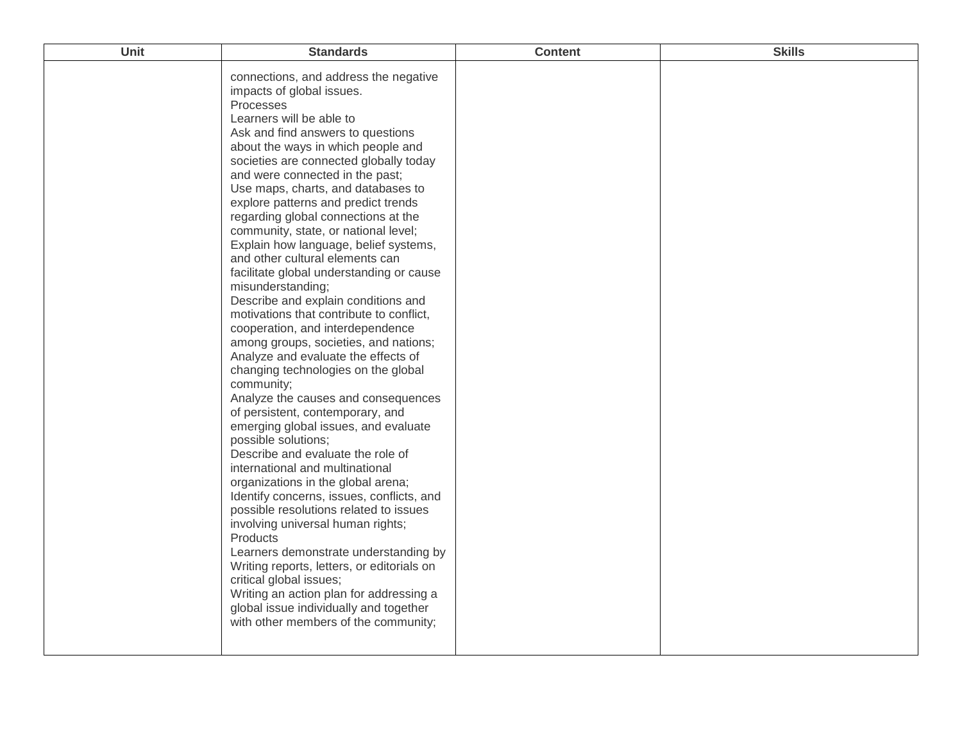| Unit | <b>Standards</b>                                                                                                                                                                                                                                                                                                                                                                                                                                                                                                                                                                                                                                                                                                                                                                                                                                                                                                                                                                                                                                                                                                                                                                                                                                                                                                                                                                                                                                                                        | <b>Content</b> | <b>Skills</b> |
|------|-----------------------------------------------------------------------------------------------------------------------------------------------------------------------------------------------------------------------------------------------------------------------------------------------------------------------------------------------------------------------------------------------------------------------------------------------------------------------------------------------------------------------------------------------------------------------------------------------------------------------------------------------------------------------------------------------------------------------------------------------------------------------------------------------------------------------------------------------------------------------------------------------------------------------------------------------------------------------------------------------------------------------------------------------------------------------------------------------------------------------------------------------------------------------------------------------------------------------------------------------------------------------------------------------------------------------------------------------------------------------------------------------------------------------------------------------------------------------------------------|----------------|---------------|
|      | connections, and address the negative<br>impacts of global issues.<br>Processes<br>Learners will be able to<br>Ask and find answers to questions<br>about the ways in which people and<br>societies are connected globally today<br>and were connected in the past;<br>Use maps, charts, and databases to<br>explore patterns and predict trends<br>regarding global connections at the<br>community, state, or national level;<br>Explain how language, belief systems,<br>and other cultural elements can<br>facilitate global understanding or cause<br>misunderstanding;<br>Describe and explain conditions and<br>motivations that contribute to conflict,<br>cooperation, and interdependence<br>among groups, societies, and nations;<br>Analyze and evaluate the effects of<br>changing technologies on the global<br>community;<br>Analyze the causes and consequences<br>of persistent, contemporary, and<br>emerging global issues, and evaluate<br>possible solutions;<br>Describe and evaluate the role of<br>international and multinational<br>organizations in the global arena;<br>Identify concerns, issues, conflicts, and<br>possible resolutions related to issues<br>involving universal human rights;<br>Products<br>Learners demonstrate understanding by<br>Writing reports, letters, or editorials on<br>critical global issues;<br>Writing an action plan for addressing a<br>global issue individually and together<br>with other members of the community; |                |               |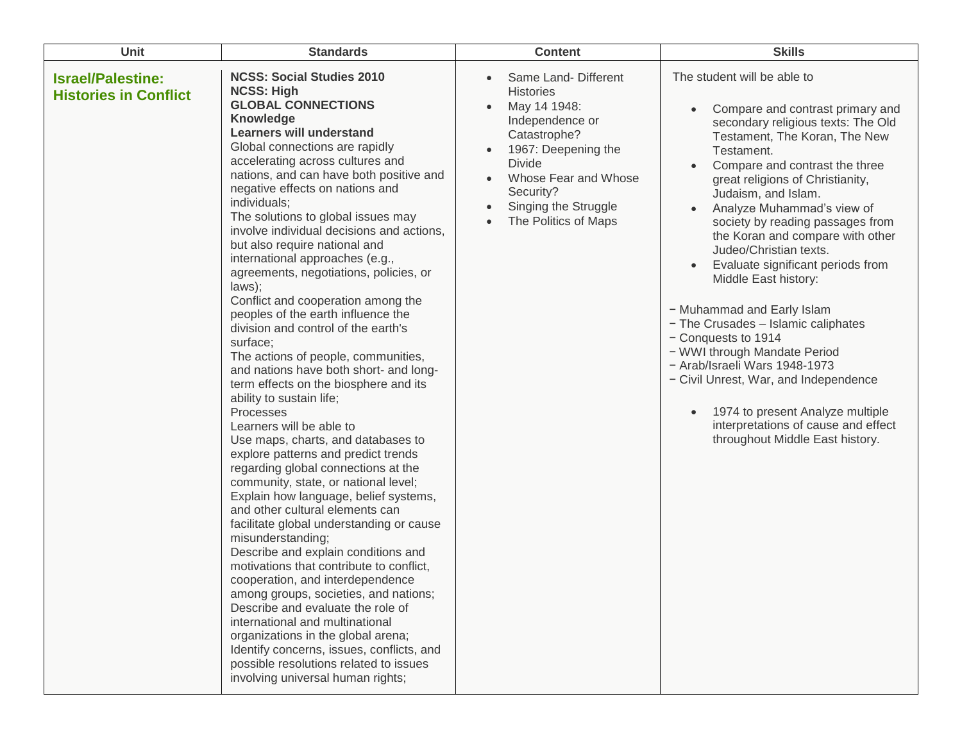| Unit                                                     | <b>Standards</b>                                                                                                                                                                                                                                                                                                                                                                                                                                                                                                                                                                                                                                                                                                                                                                                                                                                                                                                                                                                                                                                                                                                                                                                                                                                                                                                                                                                                                                                                                                                                                   | <b>Content</b>                                                                                                                                                                                                                        | <b>Skills</b>                                                                                                                                                                                                                                                                                                                                                                                                                                                                                                                                                                                                                                                                                                                                                      |
|----------------------------------------------------------|--------------------------------------------------------------------------------------------------------------------------------------------------------------------------------------------------------------------------------------------------------------------------------------------------------------------------------------------------------------------------------------------------------------------------------------------------------------------------------------------------------------------------------------------------------------------------------------------------------------------------------------------------------------------------------------------------------------------------------------------------------------------------------------------------------------------------------------------------------------------------------------------------------------------------------------------------------------------------------------------------------------------------------------------------------------------------------------------------------------------------------------------------------------------------------------------------------------------------------------------------------------------------------------------------------------------------------------------------------------------------------------------------------------------------------------------------------------------------------------------------------------------------------------------------------------------|---------------------------------------------------------------------------------------------------------------------------------------------------------------------------------------------------------------------------------------|--------------------------------------------------------------------------------------------------------------------------------------------------------------------------------------------------------------------------------------------------------------------------------------------------------------------------------------------------------------------------------------------------------------------------------------------------------------------------------------------------------------------------------------------------------------------------------------------------------------------------------------------------------------------------------------------------------------------------------------------------------------------|
| <b>Israel/Palestine:</b><br><b>Histories in Conflict</b> | <b>NCSS: Social Studies 2010</b><br><b>NCSS: High</b><br><b>GLOBAL CONNECTIONS</b><br>Knowledge<br><b>Learners will understand</b><br>Global connections are rapidly<br>accelerating across cultures and<br>nations, and can have both positive and<br>negative effects on nations and<br>individuals;<br>The solutions to global issues may<br>involve individual decisions and actions,<br>but also require national and<br>international approaches (e.g.,<br>agreements, negotiations, policies, or<br>laws);<br>Conflict and cooperation among the<br>peoples of the earth influence the<br>division and control of the earth's<br>surface:<br>The actions of people, communities,<br>and nations have both short- and long-<br>term effects on the biosphere and its<br>ability to sustain life;<br>Processes<br>Learners will be able to<br>Use maps, charts, and databases to<br>explore patterns and predict trends<br>regarding global connections at the<br>community, state, or national level;<br>Explain how language, belief systems,<br>and other cultural elements can<br>facilitate global understanding or cause<br>misunderstanding;<br>Describe and explain conditions and<br>motivations that contribute to conflict,<br>cooperation, and interdependence<br>among groups, societies, and nations;<br>Describe and evaluate the role of<br>international and multinational<br>organizations in the global arena;<br>Identify concerns, issues, conflicts, and<br>possible resolutions related to issues<br>involving universal human rights; | Same Land- Different<br><b>Histories</b><br>May 14 1948:<br>$\bullet$<br>Independence or<br>Catastrophe?<br>1967: Deepening the<br><b>Divide</b><br>Whose Fear and Whose<br>Security?<br>Singing the Struggle<br>The Politics of Maps | The student will be able to<br>Compare and contrast primary and<br>secondary religious texts: The Old<br>Testament, The Koran, The New<br>Testament.<br>Compare and contrast the three<br>great religions of Christianity,<br>Judaism, and Islam.<br>Analyze Muhammad's view of<br>society by reading passages from<br>the Koran and compare with other<br>Judeo/Christian texts.<br>Evaluate significant periods from<br>Middle East history:<br>- Muhammad and Early Islam<br>- The Crusades - Islamic caliphates<br>- Conquests to 1914<br>- WWI through Mandate Period<br>- Arab/Israeli Wars 1948-1973<br>- Civil Unrest, War, and Independence<br>1974 to present Analyze multiple<br>interpretations of cause and effect<br>throughout Middle East history. |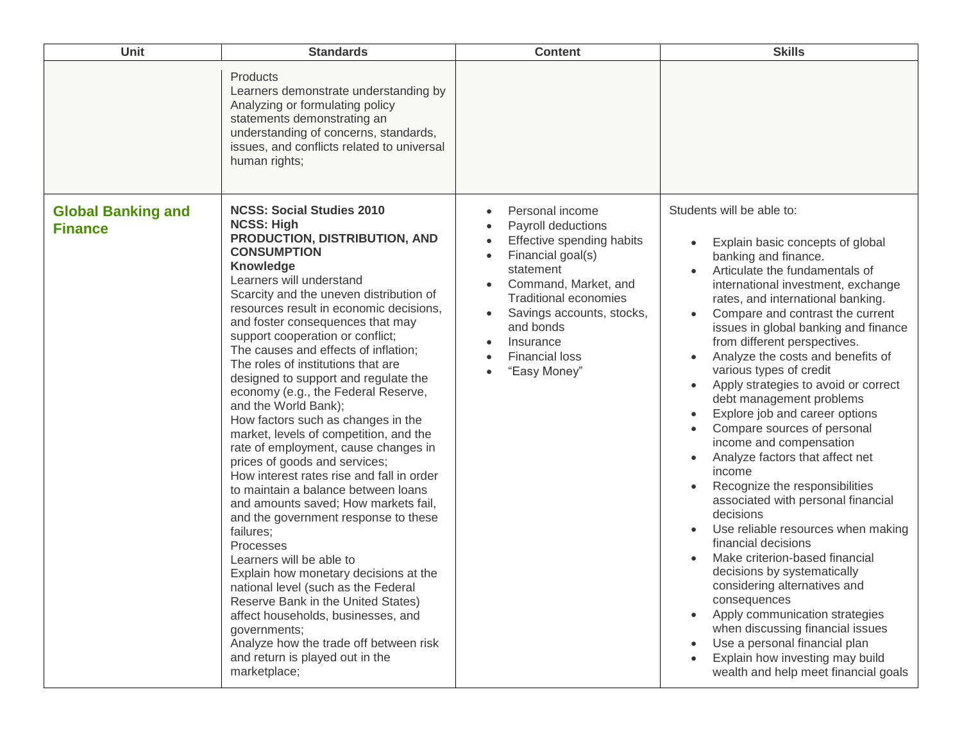| Unit                                        | <b>Standards</b>                                                                                                                                                                                                                                                                                                                                                                                                                                                                                                                                                                                                                                                                                                                                                                                                                                                                                                                                                                                                                                                                                                                                                     | <b>Content</b>                                                                                                                                                                                                                                               | <b>Skills</b>                                                                                                                                                                                                                                                                                                                                                                                                                                                                                                                                                                                                                                                                                                                                                                                                                                                                                                                                                                                                                                                                                                                  |
|---------------------------------------------|----------------------------------------------------------------------------------------------------------------------------------------------------------------------------------------------------------------------------------------------------------------------------------------------------------------------------------------------------------------------------------------------------------------------------------------------------------------------------------------------------------------------------------------------------------------------------------------------------------------------------------------------------------------------------------------------------------------------------------------------------------------------------------------------------------------------------------------------------------------------------------------------------------------------------------------------------------------------------------------------------------------------------------------------------------------------------------------------------------------------------------------------------------------------|--------------------------------------------------------------------------------------------------------------------------------------------------------------------------------------------------------------------------------------------------------------|--------------------------------------------------------------------------------------------------------------------------------------------------------------------------------------------------------------------------------------------------------------------------------------------------------------------------------------------------------------------------------------------------------------------------------------------------------------------------------------------------------------------------------------------------------------------------------------------------------------------------------------------------------------------------------------------------------------------------------------------------------------------------------------------------------------------------------------------------------------------------------------------------------------------------------------------------------------------------------------------------------------------------------------------------------------------------------------------------------------------------------|
|                                             | Products<br>Learners demonstrate understanding by<br>Analyzing or formulating policy<br>statements demonstrating an<br>understanding of concerns, standards,<br>issues, and conflicts related to universal<br>human rights;                                                                                                                                                                                                                                                                                                                                                                                                                                                                                                                                                                                                                                                                                                                                                                                                                                                                                                                                          |                                                                                                                                                                                                                                                              |                                                                                                                                                                                                                                                                                                                                                                                                                                                                                                                                                                                                                                                                                                                                                                                                                                                                                                                                                                                                                                                                                                                                |
| <b>Global Banking and</b><br><b>Finance</b> | <b>NCSS: Social Studies 2010</b><br><b>NCSS: High</b><br>PRODUCTION, DISTRIBUTION, AND<br><b>CONSUMPTION</b><br>Knowledge<br>Learners will understand<br>Scarcity and the uneven distribution of<br>resources result in economic decisions,<br>and foster consequences that may<br>support cooperation or conflict;<br>The causes and effects of inflation;<br>The roles of institutions that are<br>designed to support and regulate the<br>economy (e.g., the Federal Reserve,<br>and the World Bank);<br>How factors such as changes in the<br>market, levels of competition, and the<br>rate of employment, cause changes in<br>prices of goods and services;<br>How interest rates rise and fall in order<br>to maintain a balance between loans<br>and amounts saved; How markets fail,<br>and the government response to these<br>failures;<br>Processes<br>Learners will be able to<br>Explain how monetary decisions at the<br>national level (such as the Federal<br>Reserve Bank in the United States)<br>affect households, businesses, and<br>governments;<br>Analyze how the trade off between risk<br>and return is played out in the<br>marketplace; | Personal income<br>Payroll deductions<br>Effective spending habits<br>Financial goal(s)<br>statement<br>Command, Market, and<br><b>Traditional economies</b><br>Savings accounts, stocks,<br>and bonds<br>Insurance<br><b>Financial loss</b><br>"Easy Money" | Students will be able to:<br>Explain basic concepts of global<br>$\bullet$<br>banking and finance.<br>Articulate the fundamentals of<br>international investment, exchange<br>rates, and international banking.<br>Compare and contrast the current<br>issues in global banking and finance<br>from different perspectives.<br>Analyze the costs and benefits of<br>$\bullet$<br>various types of credit<br>Apply strategies to avoid or correct<br>$\bullet$<br>debt management problems<br>Explore job and career options<br>Compare sources of personal<br>income and compensation<br>Analyze factors that affect net<br>$\bullet$<br>income<br>Recognize the responsibilities<br>associated with personal financial<br>decisions<br>Use reliable resources when making<br>financial decisions<br>Make criterion-based financial<br>decisions by systematically<br>considering alternatives and<br>consequences<br>Apply communication strategies<br>$\bullet$<br>when discussing financial issues<br>Use a personal financial plan<br>$\bullet$<br>Explain how investing may build<br>wealth and help meet financial goals |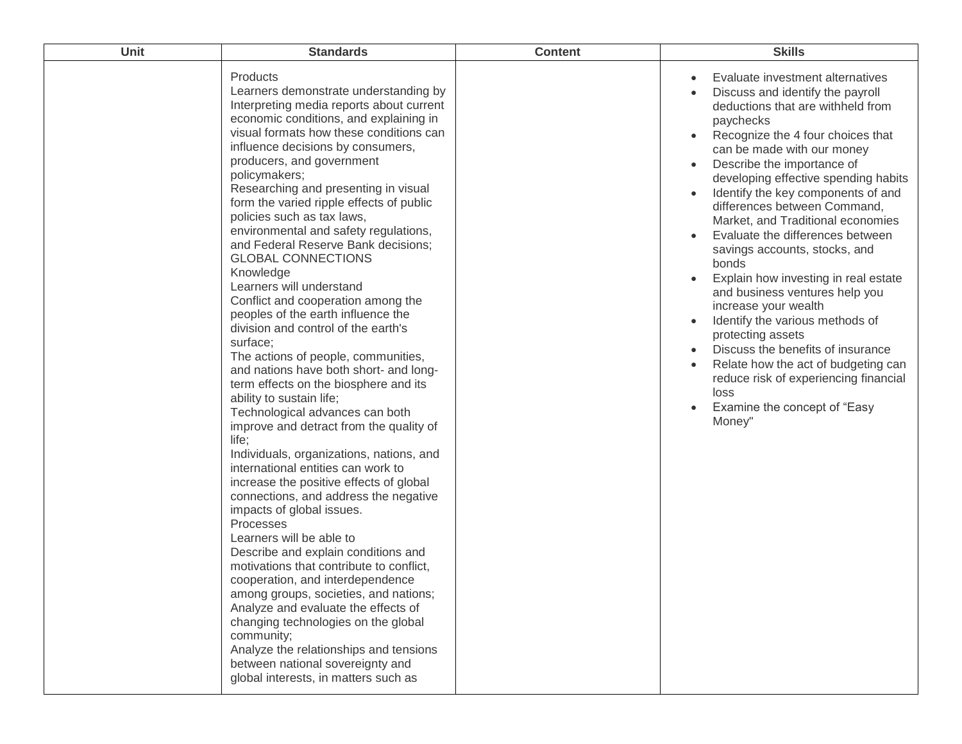| Unit | <b>Standards</b>                                                                                                                                                                                                                                                                                                                                                                                                                                                                                                                                                                                                                                                                                                                                                                                                                                                                                                                                                                                                                                                                                                                                                                                                                                                                                                                                                                                                                                                                                                                                        | <b>Content</b> | <b>Skills</b>                                                                                                                                                                                                                                                                                                                                                                                                                                                                                                                                                                                                                                                                                                                                                                             |
|------|---------------------------------------------------------------------------------------------------------------------------------------------------------------------------------------------------------------------------------------------------------------------------------------------------------------------------------------------------------------------------------------------------------------------------------------------------------------------------------------------------------------------------------------------------------------------------------------------------------------------------------------------------------------------------------------------------------------------------------------------------------------------------------------------------------------------------------------------------------------------------------------------------------------------------------------------------------------------------------------------------------------------------------------------------------------------------------------------------------------------------------------------------------------------------------------------------------------------------------------------------------------------------------------------------------------------------------------------------------------------------------------------------------------------------------------------------------------------------------------------------------------------------------------------------------|----------------|-------------------------------------------------------------------------------------------------------------------------------------------------------------------------------------------------------------------------------------------------------------------------------------------------------------------------------------------------------------------------------------------------------------------------------------------------------------------------------------------------------------------------------------------------------------------------------------------------------------------------------------------------------------------------------------------------------------------------------------------------------------------------------------------|
|      | Products<br>Learners demonstrate understanding by<br>Interpreting media reports about current<br>economic conditions, and explaining in<br>visual formats how these conditions can<br>influence decisions by consumers,<br>producers, and government<br>policymakers;<br>Researching and presenting in visual<br>form the varied ripple effects of public<br>policies such as tax laws,<br>environmental and safety regulations,<br>and Federal Reserve Bank decisions;<br><b>GLOBAL CONNECTIONS</b><br>Knowledge<br>Learners will understand<br>Conflict and cooperation among the<br>peoples of the earth influence the<br>division and control of the earth's<br>surface;<br>The actions of people, communities,<br>and nations have both short- and long-<br>term effects on the biosphere and its<br>ability to sustain life;<br>Technological advances can both<br>improve and detract from the quality of<br>life;<br>Individuals, organizations, nations, and<br>international entities can work to<br>increase the positive effects of global<br>connections, and address the negative<br>impacts of global issues.<br>Processes<br>Learners will be able to<br>Describe and explain conditions and<br>motivations that contribute to conflict,<br>cooperation, and interdependence<br>among groups, societies, and nations;<br>Analyze and evaluate the effects of<br>changing technologies on the global<br>community;<br>Analyze the relationships and tensions<br>between national sovereignty and<br>global interests, in matters such as |                | Evaluate investment alternatives<br>Discuss and identify the payroll<br>deductions that are withheld from<br>paychecks<br>Recognize the 4 four choices that<br>can be made with our money<br>Describe the importance of<br>developing effective spending habits<br>Identify the key components of and<br>differences between Command,<br>Market, and Traditional economies<br>Evaluate the differences between<br>savings accounts, stocks, and<br>bonds<br>Explain how investing in real estate<br>and business ventures help you<br>increase your wealth<br>Identify the various methods of<br>protecting assets<br>Discuss the benefits of insurance<br>Relate how the act of budgeting can<br>reduce risk of experiencing financial<br>loss<br>Examine the concept of "Easy<br>Money" |